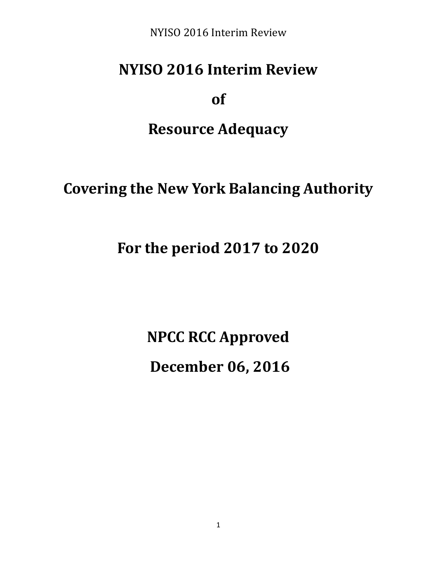# **NYISO 2016 Interim Review**

**of**

# **Resource Adequacy**

# **Covering the New York Balancing Authority**

# **For the period 2017 to 2020**

**NPCC RCC Approved**

**December 06, 2016**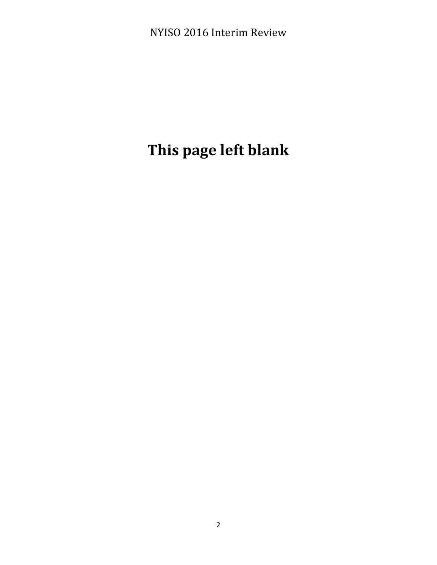# **This page left blank**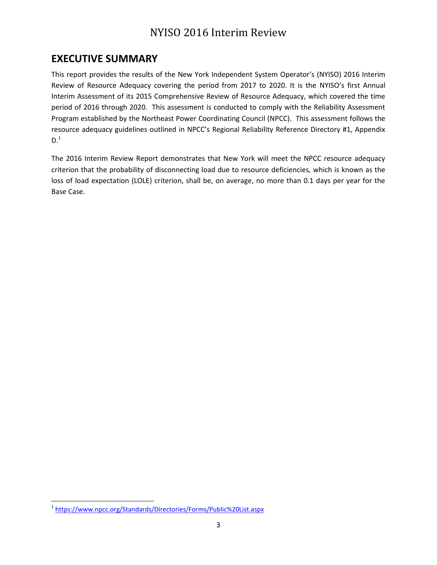### **EXECUTIVE SUMMARY**

This report provides the results of the New York Independent System Operator's (NYISO) 2016 Interim Review of Resource Adequacy covering the period from 2017 to 2020. It is the NYISO's first Annual Interim Assessment of its 2015 Comprehensive Review of Resource Adequacy, which covered the time period of 2016 through 2020. This assessment is conducted to comply with the Reliability Assessment Program established by the Northeast Power Coordinating Council (NPCC). This assessment follows the resource adequacy guidelines outlined in NPCC's Regional Reliability Reference Directory #1, Appendix  $D<sup>1</sup>$ 

The 2016 Interim Review Report demonstrates that New York will meet the NPCC resource adequacy criterion that the probability of disconnecting load due to resource deficiencies, which is known as the loss of load expectation (LOLE) criterion, shall be, on average, no more than 0.1 days per year for the Base Case.

 $\overline{\phantom{a}}$ 1 <https://www.npcc.org/Standards/Directories/Forms/Public%20List.aspx>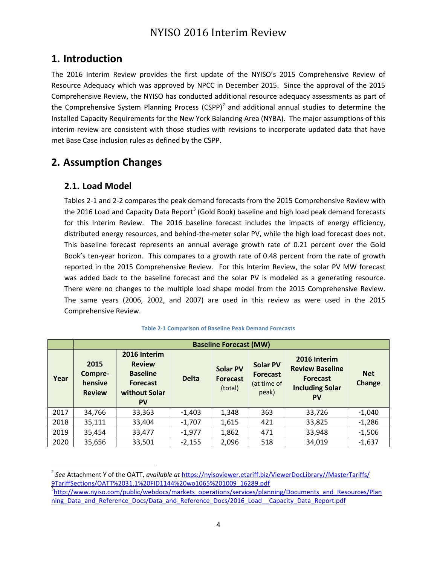### **1. Introduction**

The 2016 Interim Review provides the first update of the NYISO's 2015 Comprehensive Review of Resource Adequacy which was approved by NPCC in December 2015. Since the approval of the 2015 Comprehensive Review, the NYISO has conducted additional resource adequacy assessments as part of the Comprehensive System Planning Process (CSPP)<sup>2</sup> and additional annual studies to determine the Installed Capacity Requirements for the New York Balancing Area (NYBA). The major assumptions of this interim review are consistent with those studies with revisions to incorporate updated data that have met Base Case inclusion rules as defined by the CSPP.

### **2. Assumption Changes**

### **2.1. Load Model**

Tables 2-1 and 2-2 compares the peak demand forecasts from the 2015 Comprehensive Review with the 2016 Load and Capacity Data Report<sup>3</sup> (Gold Book) baseline and high load peak demand forecasts for this Interim Review. The 2016 baseline forecast includes the impacts of energy efficiency, distributed energy resources, and behind-the-meter solar PV, while the high load forecast does not. This baseline forecast represents an annual average growth rate of 0.21 percent over the Gold Book's ten-year horizon. This compares to a growth rate of 0.48 percent from the rate of growth reported in the 2015 Comprehensive Review. For this Interim Review, the solar PV MW forecast was added back to the baseline forecast and the solar PV is modeled as a generating resource. There were no changes to the multiple load shape model from the 2015 Comprehensive Review. The same years (2006, 2002, and 2007) are used in this review as were used in the 2015 Comprehensive Review.

|      | <b>Baseline Forecast (MW)</b>               |                                                                                                   |              |                                               |                                                            |                                                                                           |                      |
|------|---------------------------------------------|---------------------------------------------------------------------------------------------------|--------------|-----------------------------------------------|------------------------------------------------------------|-------------------------------------------------------------------------------------------|----------------------|
| Year | 2015<br>Compre-<br>hensive<br><b>Review</b> | 2016 Interim<br><b>Review</b><br><b>Baseline</b><br><b>Forecast</b><br>without Solar<br><b>PV</b> | <b>Delta</b> | <b>Solar PV</b><br><b>Forecast</b><br>(total) | <b>Solar PV</b><br><b>Forecast</b><br>(at time of<br>peak) | 2016 Interim<br><b>Review Baseline</b><br><b>Forecast</b><br><b>Including Solar</b><br>PV | <b>Net</b><br>Change |
| 2017 | 34,766                                      | 33,363                                                                                            | $-1,403$     | 1,348                                         | 363                                                        | 33,726                                                                                    | $-1,040$             |
| 2018 | 35,111                                      | 33,404                                                                                            | $-1,707$     | 1,615                                         | 421                                                        | 33,825                                                                                    | $-1,286$             |
| 2019 | 35,454                                      | 33,477                                                                                            | $-1,977$     | 1,862                                         | 471                                                        | 33,948                                                                                    | $-1,506$             |
| 2020 | 35,656                                      | 33,501                                                                                            | $-2,155$     | 2,096                                         | 518                                                        | 34,019                                                                                    | $-1,637$             |

#### **Table 2-1 Comparison of Baseline Peak Demand Forecasts**

l 2 *See* Attachment Y of the OATT, *available at* [https://nyisoviewer.etariff.biz/ViewerDocLibrary//MasterTariffs/](https://nyisoviewer.etariff.biz/ViewerDocLibrary/MasterTariffs/9TariffSections/OATT%2031.1%20FID1144%20wo1065%201009_16289.pdf) [9TariffSections/OATT%2031.1%20FID1144%20wo1065%201009\\_16289.pdf](https://nyisoviewer.etariff.biz/ViewerDocLibrary/MasterTariffs/9TariffSections/OATT%2031.1%20FID1144%20wo1065%201009_16289.pdf) <sup>3</sup>[http://www.nyiso.com/public/webdocs/markets\\_operations/services/planning/Documents\\_and\\_Resources/Plan](http://www.nyiso.com/public/webdocs/markets_operations/services/planning/Documents_and_Resources/Planning_Data_and_Reference_Docs/Data_and_Reference_Docs/2016_Load__Capacity_Data_Report.pdf) ning\_Data\_and\_Reference\_Docs/Data\_and\_Reference\_Docs/2016\_Load \_Capacity\_Data\_Report.pdf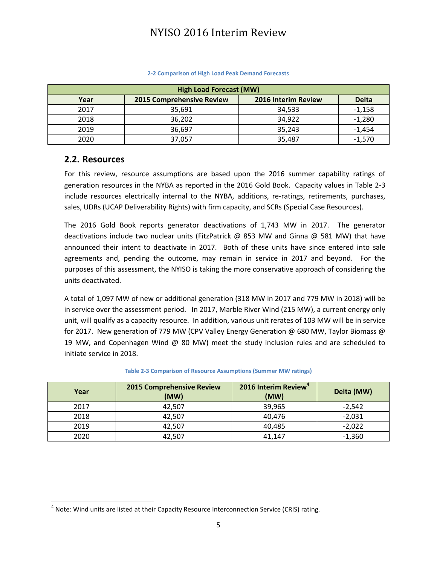| <b>High Load Forecast (MW)</b> |                                  |                     |              |  |  |
|--------------------------------|----------------------------------|---------------------|--------------|--|--|
| Year                           | <b>2015 Comprehensive Review</b> | 2016 Interim Review | <b>Delta</b> |  |  |
| 2017                           | 35.691                           | 34,533              | $-1,158$     |  |  |
| 2018                           | 36.202                           | 34,922              | $-1,280$     |  |  |
| 2019                           | 36.697                           | 35.243              | $-1,454$     |  |  |
| 2020                           | 37,057                           | 35,487              | $-1,570$     |  |  |

#### **2-2 Comparison of High Load Peak Demand Forecasts**

### **2.2. Resources**

 $\overline{\phantom{a}}$ 

For this review, resource assumptions are based upon the 2016 summer capability ratings of generation resources in the NYBA as reported in the 2016 Gold Book. Capacity values in Table 2-3 include resources electrically internal to the NYBA, additions, re-ratings, retirements, purchases, sales, UDRs (UCAP Deliverability Rights) with firm capacity, and SCRs (Special Case Resources).

The 2016 Gold Book reports generator deactivations of 1,743 MW in 2017. The generator deactivations include two nuclear units (FitzPatrick @ 853 MW and Ginna @ 581 MW) that have announced their intent to deactivate in 2017. Both of these units have since entered into sale agreements and, pending the outcome, may remain in service in 2017 and beyond. For the purposes of this assessment, the NYISO is taking the more conservative approach of considering the units deactivated.

A total of 1,097 MW of new or additional generation (318 MW in 2017 and 779 MW in 2018) will be in service over the assessment period. In 2017, Marble River Wind (215 MW), a current energy only unit, will qualify as a capacity resource. In addition, various unit rerates of 103 MW will be in service for 2017. New generation of 779 MW (CPV Valley Energy Generation @ 680 MW, Taylor Biomass @ 19 MW, and Copenhagen Wind @ 80 MW) meet the study inclusion rules and are scheduled to initiate service in 2018.

| Year | <b>2015 Comprehensive Review</b><br>(MW) | 2016 Interim Review <sup>4</sup><br>(MW) | Delta (MW) |
|------|------------------------------------------|------------------------------------------|------------|
| 2017 | 42,507                                   | 39,965                                   | $-2,542$   |
| 2018 | 42,507                                   | 40,476                                   | $-2,031$   |
| 2019 | 42,507                                   | 40,485                                   | $-2,022$   |
| 2020 | 42,507                                   | 41,147                                   | $-1,360$   |

#### **Table 2-3 Comparison of Resource Assumptions (Summer MW ratings)**

 $<sup>4</sup>$  Note: Wind units are listed at their Capacity Resource Interconnection Service (CRIS) rating.</sup>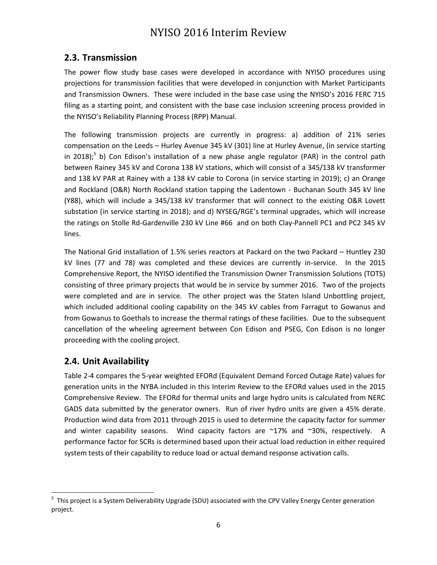### **2.3. Transmission**

The power flow study base cases were developed in accordance with NYISO procedures using projections for transmission facilities that were developed in conjunction with Market Participants and Transmission Owners. These were included in the base case using the NYISO's 2016 FERC 715 filing as a starting point, and consistent with the base case inclusion screening process provided in the NYISO's Reliability Planning Process (RPP) Manual.

The following transmission projects are currently in progress: a) addition of 21% series compensation on the Leeds – Hurley Avenue 345 kV (301) line at Hurley Avenue, (in service starting in 2018);<sup>5</sup> b) Con Edison's installation of a new phase angle regulator (PAR) in the control path between Rainey 345 kV and Corona 138 kV stations, which will consist of a 345/138 kV transformer and 138 kV PAR at Rainey with a 138 kV cable to Corona (in service starting in 2019); c) an Orange and Rockland (O&R) North Rockland station tapping the Ladentown - Buchanan South 345 kV line (Y88), which will include a 345/138 kV transformer that will connect to the existing O&R Lovett substation (in service starting in 2018); and d) NYSEG/RGE's terminal upgrades, which will increase the ratings on Stolle Rd-Gardenville 230 kV Line #66 and on both Clay-Pannell PC1 and PC2 345 kV lines.

The National Grid installation of 1.5% series reactors at Packard on the two Packard – Huntley 230 kV lines (77 and 78) was completed and these devices are currently in-service. In the 2015 Comprehensive Report, the NYISO identified the Transmission Owner Transmission Solutions (TOTS) consisting of three primary projects that would be in service by summer 2016. Two of the projects were completed and are in service. The other project was the Staten Island Unbottling project, which included additional cooling capability on the 345 kV cables from Farragut to Gowanus and from Gowanus to Goethals to increase the thermal ratings of these facilities. Due to the subsequent cancellation of the wheeling agreement between Con Edison and PSEG, Con Edison is no longer proceeding with the cooling project.

### **2.4. Unit Availability**

l

Table 2-4 compares the 5-year weighted EFORd (Equivalent Demand Forced Outage Rate) values for generation units in the NYBA included in this Interim Review to the EFORd values used in the 2015 Comprehensive Review. The EFORd for thermal units and large hydro units is calculated from NERC GADS data submitted by the generator owners. Run of river hydro units are given a 45% derate. Production wind data from 2011 through 2015 is used to determine the capacity factor for summer and winter capability seasons. Wind capacity factors are  $\gamma$ 17% and  $\gamma$ 30%, respectively. A performance factor for SCRs is determined based upon their actual load reduction in either required system tests of their capability to reduce load or actual demand response activation calls.

<sup>&</sup>lt;sup>5</sup> This project is a System Deliverability Upgrade (SDU) associated with the CPV Valley Energy Center generation project.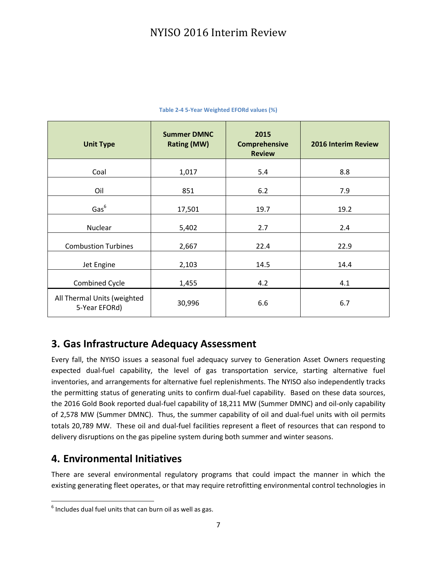| <b>Unit Type</b>                             | <b>Summer DMNC</b><br><b>Rating (MW)</b> | 2015<br>Comprehensive<br><b>Review</b> | 2016 Interim Review |
|----------------------------------------------|------------------------------------------|----------------------------------------|---------------------|
| Coal                                         | 1,017                                    | 5.4                                    | 8.8                 |
| Oil                                          | 851                                      | 6.2                                    | 7.9                 |
| Gas <sup>6</sup>                             | 17,501                                   | 19.7                                   | 19.2                |
| Nuclear                                      | 5,402                                    | 2.7                                    | 2.4                 |
| <b>Combustion Turbines</b>                   | 2,667                                    | 22.4                                   | 22.9                |
| Jet Engine                                   | 2,103                                    | 14.5                                   | 14.4                |
| Combined Cycle                               | 1,455                                    | 4.2                                    | 4.1                 |
| All Thermal Units (weighted<br>5-Year EFORd) | 30,996                                   | 6.6                                    | 6.7                 |

#### **Table 2-4 5-Year Weighted EFORd values (%)**

### **3. Gas Infrastructure Adequacy Assessment**

Every fall, the NYISO issues a seasonal fuel adequacy survey to Generation Asset Owners requesting expected dual-fuel capability, the level of gas transportation service, starting alternative fuel inventories, and arrangements for alternative fuel replenishments. The NYISO also independently tracks the permitting status of generating units to confirm dual-fuel capability. Based on these data sources, the 2016 Gold Book reported dual-fuel capability of 18,211 MW (Summer DMNC) and oil-only capability of 2,578 MW (Summer DMNC). Thus, the summer capability of oil and dual-fuel units with oil permits totals 20,789 MW. These oil and dual-fuel facilities represent a fleet of resources that can respond to delivery disruptions on the gas pipeline system during both summer and winter seasons.

### **4. Environmental Initiatives**

 $\overline{\phantom{a}}$ 

There are several environmental regulatory programs that could impact the manner in which the existing generating fleet operates, or that may require retrofitting environmental control technologies in

 $<sup>6</sup>$  Includes dual fuel units that can burn oil as well as gas.</sup>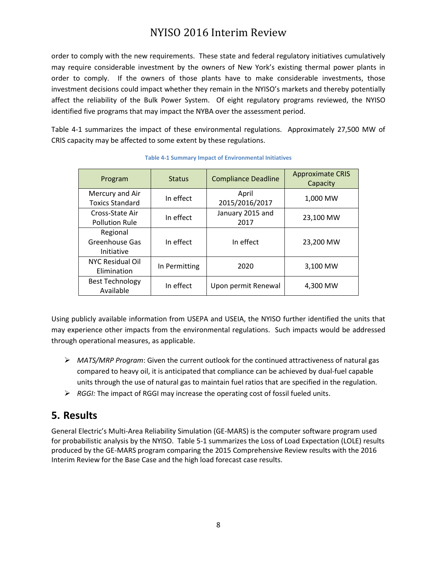order to comply with the new requirements. These state and federal regulatory initiatives cumulatively may require considerable investment by the owners of New York's existing thermal power plants in order to comply. If the owners of those plants have to make considerable investments, those investment decisions could impact whether they remain in the NYISO's markets and thereby potentially affect the reliability of the Bulk Power System. Of eight regulatory programs reviewed, the NYISO identified five programs that may impact the NYBA over the assessment period.

Table 4-1 summarizes the impact of these environmental regulations. Approximately 27,500 MW of CRIS capacity may be affected to some extent by these regulations.

| Program                                   | <b>Status</b> | <b>Compliance Deadline</b> | <b>Approximate CRIS</b><br>Capacity |
|-------------------------------------------|---------------|----------------------------|-------------------------------------|
| Mercury and Air<br><b>Toxics Standard</b> | In effect     | April<br>2015/2016/2017    | 1,000 MW                            |
| Cross-State Air<br><b>Pollution Rule</b>  | In effect     | January 2015 and<br>2017   | 23,100 MW                           |
| Regional<br>Greenhouse Gas<br>Initiative  | In effect     | In effect                  | 23,200 MW                           |
| <b>NYC Residual Oil</b><br>Elimination    | In Permitting | 2020                       | 3,100 MW                            |
| <b>Best Technology</b><br>Available       | In effect     | Upon permit Renewal        | 4,300 MW                            |

**Table 4-1 Summary Impact of Environmental Initiatives**

Using publicly available information from USEPA and USEIA, the NYISO further identified the units that may experience other impacts from the environmental regulations. Such impacts would be addressed through operational measures, as applicable.

- *MATS/MRP Program*: Given the current outlook for the continued attractiveness of natural gas compared to heavy oil, it is anticipated that compliance can be achieved by dual-fuel capable units through the use of natural gas to maintain fuel ratios that are specified in the regulation.
- *RGGI:* The impact of RGGI may increase the operating cost of fossil fueled units.

### **5. Results**

General Electric's Multi-Area Reliability Simulation (GE-MARS) is the computer software program used for probabilistic analysis by the NYISO. Table 5-1 summarizes the Loss of Load Expectation (LOLE) results produced by the GE-MARS program comparing the 2015 Comprehensive Review results with the 2016 Interim Review for the Base Case and the high load forecast case results.